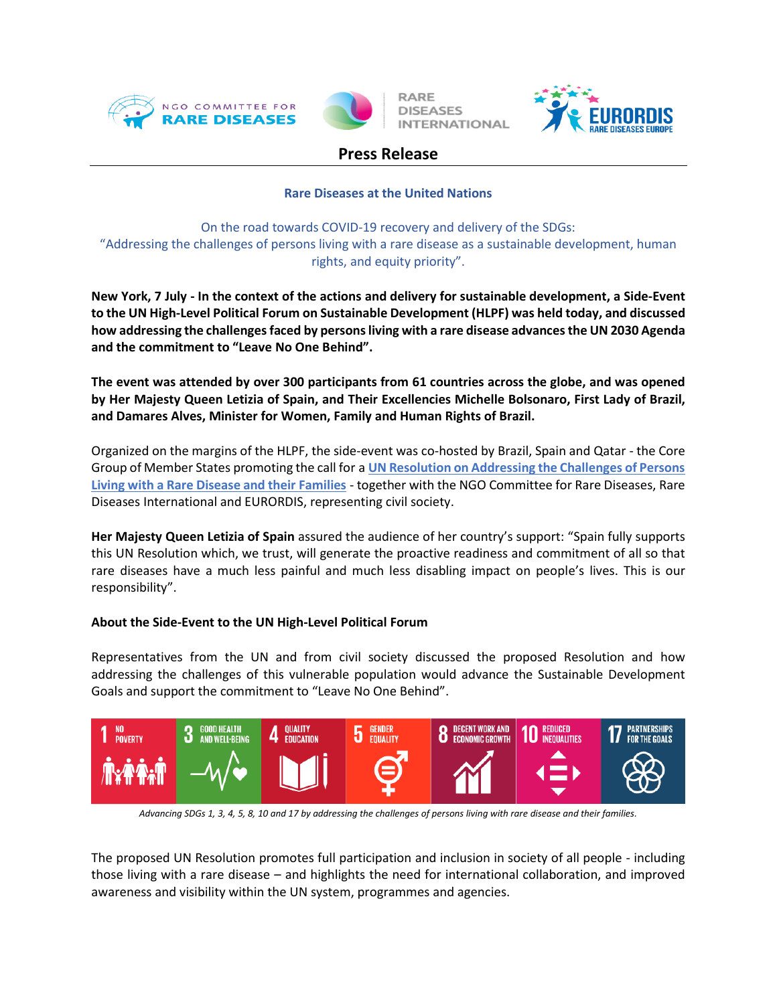



**RARE DISEASES INTERNATIONAL** 



# **Press Release**

## **Rare Diseases at the United Nations**

On the road towards COVID-19 recovery and delivery of the SDGs: "Addressing the challenges of persons living with a rare disease as a sustainable development, human rights, and equity priority".

**New York, 7 July - In the context of the actions and delivery for sustainable development, a Side-Event to the UN High-Level Political Forum on Sustainable Development (HLPF) was held today, and discussed how addressing the challenges faced by persons living with a rare disease advances the UN 2030 Agenda and the commitment to "Leave No One Behind".**

**The event was attended by over 300 participants from 61 countries across the globe, and was opened by Her Majesty Queen Letizia of Spain, and Their Excellencies Michelle Bolsonaro, First Lady of Brazil, and Damares Alves, Minister for Women, Family and Human Rights of Brazil.**

Organized on the margins of the HLPF, the side-event was co-hosted by Brazil, Spain and Qatar - the Core Group of Member States promoting the call for a **[UN Resolution on Addressing the Challenges of Persons](https://www.rarediseasesinternational.org/un-resolution-to-address-the-challenges-of-people-living-with-rare-diseases/)  [Living with a Rare Disease and their Families](https://www.rarediseasesinternational.org/un-resolution-to-address-the-challenges-of-people-living-with-rare-diseases/)** - together with the NGO Committee for Rare Diseases, Rare Diseases International and EURORDIS, representing civil society.

**Her Majesty Queen Letizia of Spain** assured the audience of her country's support: "Spain fully supports this UN Resolution which, we trust, will generate the proactive readiness and commitment of all so that rare diseases have a much less painful and much less disabling impact on people's lives. This is our responsibility".

## **About the Side-Event to the UN High-Level Political Forum**

Representatives from the UN and from civil society discussed the proposed Resolution and how addressing the challenges of this vulnerable population would advance the Sustainable Development Goals and support the commitment to "Leave No One Behind".



*Advancing SDGs 1, 3, 4, 5, 8, 10 and 17 by addressing the challenges of persons living with rare disease and their families.*

The proposed UN Resolution promotes full participation and inclusion in society of all people - including those living with a rare disease – and highlights the need for international collaboration, and improved awareness and visibility within the UN system, programmes and agencies.